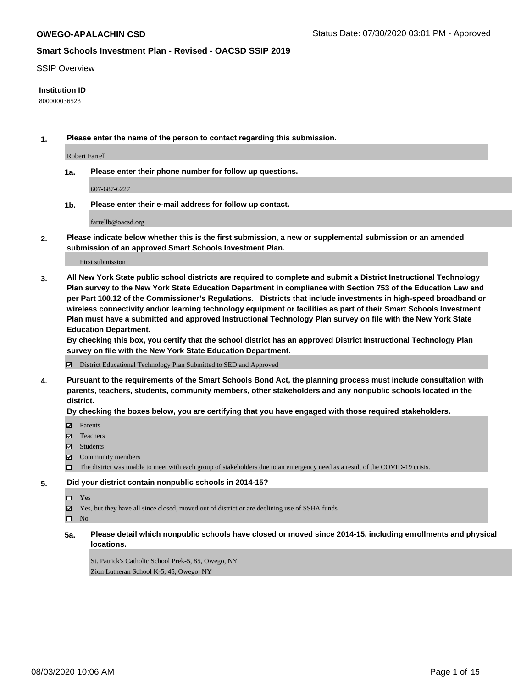#### SSIP Overview

### **Institution ID**

800000036523

**1. Please enter the name of the person to contact regarding this submission.**

Robert Farrell

**1a. Please enter their phone number for follow up questions.**

607-687-6227

**1b. Please enter their e-mail address for follow up contact.**

farrellb@oacsd.org

**2. Please indicate below whether this is the first submission, a new or supplemental submission or an amended submission of an approved Smart Schools Investment Plan.**

#### First submission

**3. All New York State public school districts are required to complete and submit a District Instructional Technology Plan survey to the New York State Education Department in compliance with Section 753 of the Education Law and per Part 100.12 of the Commissioner's Regulations. Districts that include investments in high-speed broadband or wireless connectivity and/or learning technology equipment or facilities as part of their Smart Schools Investment Plan must have a submitted and approved Instructional Technology Plan survey on file with the New York State Education Department.** 

**By checking this box, you certify that the school district has an approved District Instructional Technology Plan survey on file with the New York State Education Department.**

District Educational Technology Plan Submitted to SED and Approved

**4. Pursuant to the requirements of the Smart Schools Bond Act, the planning process must include consultation with parents, teachers, students, community members, other stakeholders and any nonpublic schools located in the district.** 

### **By checking the boxes below, you are certifying that you have engaged with those required stakeholders.**

- **Ø** Parents
- Teachers
- Students
- $\boxtimes$  Community members
- The district was unable to meet with each group of stakeholders due to an emergency need as a result of the COVID-19 crisis.

### **5. Did your district contain nonpublic schools in 2014-15?**

- $\neg$  Yes
- Yes, but they have all since closed, moved out of district or are declining use of SSBA funds

 $\square$  No

**5a. Please detail which nonpublic schools have closed or moved since 2014-15, including enrollments and physical locations.**

St. Patrick's Catholic School Prek-5, 85, Owego, NY Zion Lutheran School K-5, 45, Owego, NY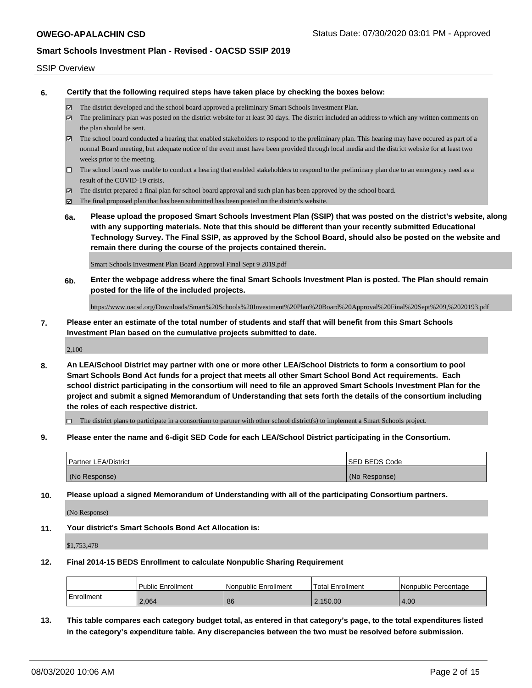#### SSIP Overview

**6. Certify that the following required steps have taken place by checking the boxes below:**

- The district developed and the school board approved a preliminary Smart Schools Investment Plan.
- $\boxtimes$  The preliminary plan was posted on the district website for at least 30 days. The district included an address to which any written comments on the plan should be sent.
- $\boxtimes$  The school board conducted a hearing that enabled stakeholders to respond to the preliminary plan. This hearing may have occured as part of a normal Board meeting, but adequate notice of the event must have been provided through local media and the district website for at least two weeks prior to the meeting.
- $\Box$  The school board was unable to conduct a hearing that enabled stakeholders to respond to the preliminary plan due to an emergency need as a result of the COVID-19 crisis.
- The district prepared a final plan for school board approval and such plan has been approved by the school board.
- $\boxtimes$  The final proposed plan that has been submitted has been posted on the district's website.
- **6a. Please upload the proposed Smart Schools Investment Plan (SSIP) that was posted on the district's website, along with any supporting materials. Note that this should be different than your recently submitted Educational Technology Survey. The Final SSIP, as approved by the School Board, should also be posted on the website and remain there during the course of the projects contained therein.**

Smart Schools Investment Plan Board Approval Final Sept 9 2019.pdf

**6b. Enter the webpage address where the final Smart Schools Investment Plan is posted. The Plan should remain posted for the life of the included projects.**

https://www.oacsd.org/Downloads/Smart%20Schools%20Investment%20Plan%20Board%20Approval%20Final%20Sept%209,%2020193.pdf

**7. Please enter an estimate of the total number of students and staff that will benefit from this Smart Schools Investment Plan based on the cumulative projects submitted to date.**

2,100

**8. An LEA/School District may partner with one or more other LEA/School Districts to form a consortium to pool Smart Schools Bond Act funds for a project that meets all other Smart School Bond Act requirements. Each school district participating in the consortium will need to file an approved Smart Schools Investment Plan for the project and submit a signed Memorandum of Understanding that sets forth the details of the consortium including the roles of each respective district.**

 $\Box$  The district plans to participate in a consortium to partner with other school district(s) to implement a Smart Schools project.

**9. Please enter the name and 6-digit SED Code for each LEA/School District participating in the Consortium.**

| <b>Partner LEA/District</b> | <b>ISED BEDS Code</b> |
|-----------------------------|-----------------------|
| (No Response)               | (No Response)         |

**10. Please upload a signed Memorandum of Understanding with all of the participating Consortium partners.**

(No Response)

**11. Your district's Smart Schools Bond Act Allocation is:**

\$1,753,478

#### **12. Final 2014-15 BEDS Enrollment to calculate Nonpublic Sharing Requirement**

|            | <b>Public Enrollment</b> | l Nonpublic Enrollment | <b>Total Enrollment</b> | l Nonpublic Percentage |
|------------|--------------------------|------------------------|-------------------------|------------------------|
| Enrollment | 2,064                    | 86                     | 2,150.00                | 4.00                   |

**13. This table compares each category budget total, as entered in that category's page, to the total expenditures listed in the category's expenditure table. Any discrepancies between the two must be resolved before submission.**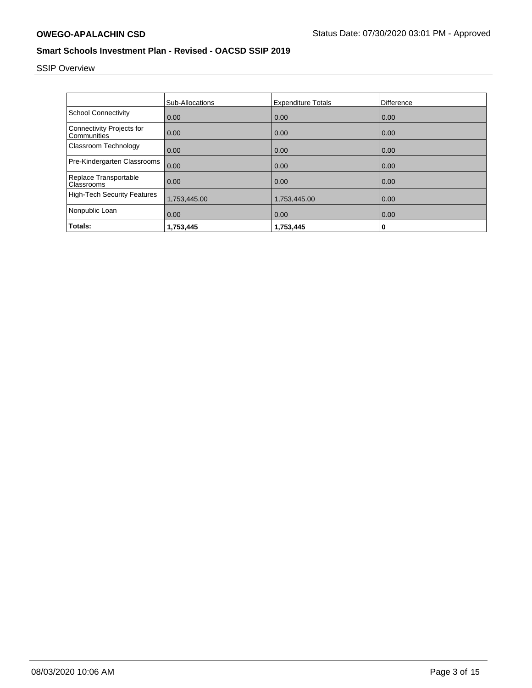# SSIP Overview

|                                                 | Sub-Allocations | <b>Expenditure Totals</b> | <b>Difference</b> |
|-------------------------------------------------|-----------------|---------------------------|-------------------|
| <b>School Connectivity</b>                      | 0.00            | 0.00                      | 0.00              |
| <b>Connectivity Projects for</b><br>Communities | 0.00            | 0.00                      | 0.00              |
| Classroom Technology                            | 0.00            | 0.00                      | 0.00              |
| Pre-Kindergarten Classrooms                     | 0.00            | 0.00                      | 0.00              |
| Replace Transportable<br>Classrooms             | 0.00            | 0.00                      | 0.00              |
| <b>High-Tech Security Features</b>              | 1,753,445.00    | 1,753,445.00              | 0.00              |
| Nonpublic Loan                                  | 0.00            | 0.00                      | 0.00              |
| Totals:                                         | 1,753,445       | 1,753,445                 | 0                 |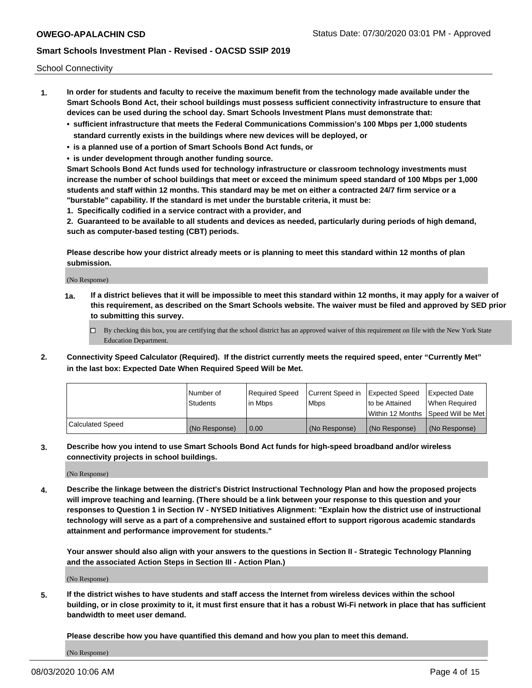School Connectivity

- **1. In order for students and faculty to receive the maximum benefit from the technology made available under the Smart Schools Bond Act, their school buildings must possess sufficient connectivity infrastructure to ensure that devices can be used during the school day. Smart Schools Investment Plans must demonstrate that:**
	- **• sufficient infrastructure that meets the Federal Communications Commission's 100 Mbps per 1,000 students standard currently exists in the buildings where new devices will be deployed, or**
	- **• is a planned use of a portion of Smart Schools Bond Act funds, or**
	- **• is under development through another funding source.**

**Smart Schools Bond Act funds used for technology infrastructure or classroom technology investments must increase the number of school buildings that meet or exceed the minimum speed standard of 100 Mbps per 1,000 students and staff within 12 months. This standard may be met on either a contracted 24/7 firm service or a "burstable" capability. If the standard is met under the burstable criteria, it must be:**

**1. Specifically codified in a service contract with a provider, and**

**2. Guaranteed to be available to all students and devices as needed, particularly during periods of high demand, such as computer-based testing (CBT) periods.**

**Please describe how your district already meets or is planning to meet this standard within 12 months of plan submission.**

(No Response)

**1a. If a district believes that it will be impossible to meet this standard within 12 months, it may apply for a waiver of this requirement, as described on the Smart Schools website. The waiver must be filed and approved by SED prior to submitting this survey.**

 $\Box$  By checking this box, you are certifying that the school district has an approved waiver of this requirement on file with the New York State Education Department.

**2. Connectivity Speed Calculator (Required). If the district currently meets the required speed, enter "Currently Met" in the last box: Expected Date When Required Speed Will be Met.**

|                  | l Number of     | Required Speed | Current Speed in | Expected Speed  | Expected Date                           |
|------------------|-----------------|----------------|------------------|-----------------|-----------------------------------------|
|                  | <b>Students</b> | In Mbps        | l Mbps           | to be Attained  | When Required                           |
|                  |                 |                |                  |                 | l Within 12 Months ISpeed Will be Met l |
| Calculated Speed | (No Response)   | 0.00           | (No Response)    | l (No Response) | l (No Response)                         |

**3. Describe how you intend to use Smart Schools Bond Act funds for high-speed broadband and/or wireless connectivity projects in school buildings.**

(No Response)

**4. Describe the linkage between the district's District Instructional Technology Plan and how the proposed projects will improve teaching and learning. (There should be a link between your response to this question and your responses to Question 1 in Section IV - NYSED Initiatives Alignment: "Explain how the district use of instructional technology will serve as a part of a comprehensive and sustained effort to support rigorous academic standards attainment and performance improvement for students."** 

**Your answer should also align with your answers to the questions in Section II - Strategic Technology Planning and the associated Action Steps in Section III - Action Plan.)**

(No Response)

**5. If the district wishes to have students and staff access the Internet from wireless devices within the school building, or in close proximity to it, it must first ensure that it has a robust Wi-Fi network in place that has sufficient bandwidth to meet user demand.**

**Please describe how you have quantified this demand and how you plan to meet this demand.**

(No Response)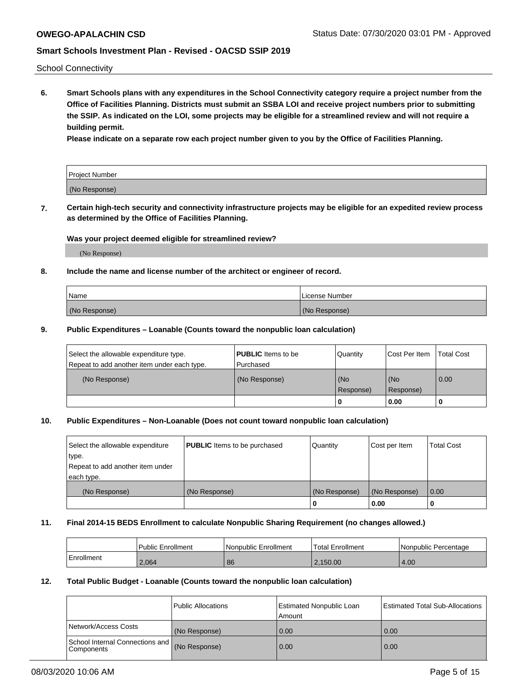School Connectivity

**6. Smart Schools plans with any expenditures in the School Connectivity category require a project number from the Office of Facilities Planning. Districts must submit an SSBA LOI and receive project numbers prior to submitting the SSIP. As indicated on the LOI, some projects may be eligible for a streamlined review and will not require a building permit.**

**Please indicate on a separate row each project number given to you by the Office of Facilities Planning.**

| Project Number |  |
|----------------|--|
| (No Response)  |  |

**7. Certain high-tech security and connectivity infrastructure projects may be eligible for an expedited review process as determined by the Office of Facilities Planning.**

#### **Was your project deemed eligible for streamlined review?**

(No Response)

### **8. Include the name and license number of the architect or engineer of record.**

| Name          | License Number |
|---------------|----------------|
| (No Response) | (No Response)  |

### **9. Public Expenditures – Loanable (Counts toward the nonpublic loan calculation)**

| Select the allowable expenditure type.<br>Repeat to add another item under each type. | <b>PUBLIC</b> Items to be<br>l Purchased | Quantity           | Cost Per Item    | <b>Total Cost</b> |
|---------------------------------------------------------------------------------------|------------------------------------------|--------------------|------------------|-------------------|
| (No Response)                                                                         | (No Response)                            | l (No<br>Response) | (No<br>Response) | $\overline{0.00}$ |
|                                                                                       |                                          | O                  | 0.00             |                   |

### **10. Public Expenditures – Non-Loanable (Does not count toward nonpublic loan calculation)**

| Select the allowable expenditure<br>type.<br>Repeat to add another item under<br>each type. | <b>PUBLIC</b> Items to be purchased | Quantity      | Cost per Item | <b>Total Cost</b> |
|---------------------------------------------------------------------------------------------|-------------------------------------|---------------|---------------|-------------------|
| (No Response)                                                                               | (No Response)                       | (No Response) | (No Response) | 0.00              |
|                                                                                             |                                     |               | 0.00          |                   |

#### **11. Final 2014-15 BEDS Enrollment to calculate Nonpublic Sharing Requirement (no changes allowed.)**

|            | Public Enrollment | l Nonpublic Enrollment | <b>Total Enrollment</b> | Nonpublic Percentage |
|------------|-------------------|------------------------|-------------------------|----------------------|
| Enrollment | 2.064             | 86                     | 2.150.00                | 4.00                 |

### **12. Total Public Budget - Loanable (Counts toward the nonpublic loan calculation)**

|                                                      | Public Allocations | <b>Estimated Nonpublic Loan</b><br>Amount | Estimated Total Sub-Allocations |
|------------------------------------------------------|--------------------|-------------------------------------------|---------------------------------|
| Network/Access Costs                                 | (No Response)      | 0.00                                      | 0.00                            |
| School Internal Connections and<br><b>Components</b> | (No Response)      | 0.00                                      | 0.00                            |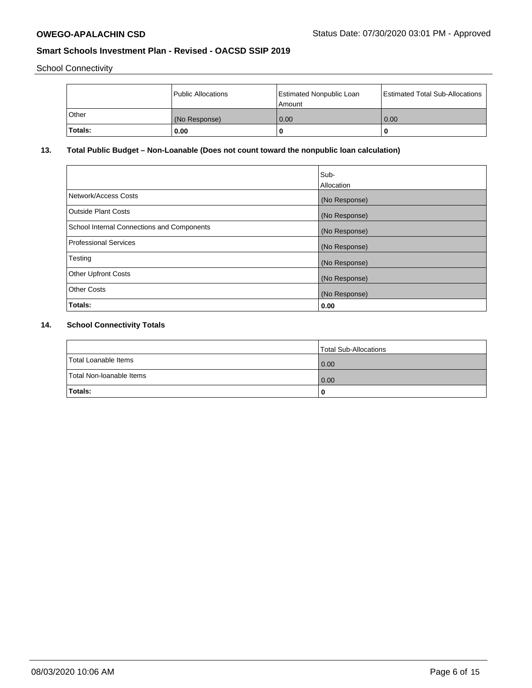School Connectivity

|         | Public Allocations | <b>Estimated Nonpublic Loan</b><br>l Amount | <b>Estimated Total Sub-Allocations</b> |
|---------|--------------------|---------------------------------------------|----------------------------------------|
| l Other | (No Response)      | 0.00                                        | 0.00                                   |
| Totals: | 0.00               | 0                                           |                                        |

### **13. Total Public Budget – Non-Loanable (Does not count toward the nonpublic loan calculation)**

|                                                   | Sub-<br>Allocation |
|---------------------------------------------------|--------------------|
|                                                   |                    |
| Network/Access Costs                              | (No Response)      |
| <b>Outside Plant Costs</b>                        | (No Response)      |
| <b>School Internal Connections and Components</b> | (No Response)      |
| Professional Services                             | (No Response)      |
| Testing                                           | (No Response)      |
| <b>Other Upfront Costs</b>                        | (No Response)      |
| <b>Other Costs</b>                                | (No Response)      |
| <b>Totals:</b>                                    | 0.00               |

# **14. School Connectivity Totals**

|                          | Total Sub-Allocations |
|--------------------------|-----------------------|
| Total Loanable Items     | 0.00                  |
| Total Non-Ioanable Items | 0.00                  |
| Totals:                  |                       |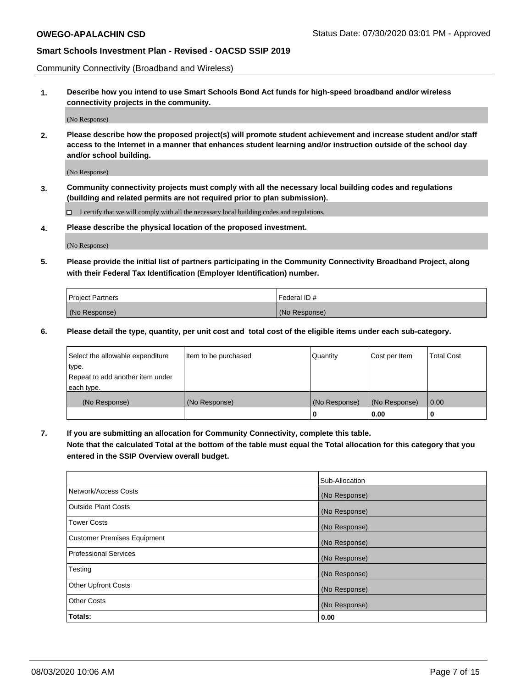Community Connectivity (Broadband and Wireless)

**1. Describe how you intend to use Smart Schools Bond Act funds for high-speed broadband and/or wireless connectivity projects in the community.**

(No Response)

**2. Please describe how the proposed project(s) will promote student achievement and increase student and/or staff access to the Internet in a manner that enhances student learning and/or instruction outside of the school day and/or school building.**

(No Response)

**3. Community connectivity projects must comply with all the necessary local building codes and regulations (building and related permits are not required prior to plan submission).**

 $\Box$  I certify that we will comply with all the necessary local building codes and regulations.

**4. Please describe the physical location of the proposed investment.**

(No Response)

**5. Please provide the initial list of partners participating in the Community Connectivity Broadband Project, along with their Federal Tax Identification (Employer Identification) number.**

| <b>Project Partners</b> | l Federal ID # |
|-------------------------|----------------|
| (No Response)           | (No Response)  |

**6. Please detail the type, quantity, per unit cost and total cost of the eligible items under each sub-category.**

| Select the allowable expenditure | Item to be purchased | Quantity      | Cost per Item | <b>Total Cost</b> |
|----------------------------------|----------------------|---------------|---------------|-------------------|
| type.                            |                      |               |               |                   |
| Repeat to add another item under |                      |               |               |                   |
| each type.                       |                      |               |               |                   |
| (No Response)                    | (No Response)        | (No Response) | (No Response) | 0.00              |
|                                  |                      | o             | 0.00          |                   |

**7. If you are submitting an allocation for Community Connectivity, complete this table.**

**Note that the calculated Total at the bottom of the table must equal the Total allocation for this category that you entered in the SSIP Overview overall budget.**

|                                    | Sub-Allocation |
|------------------------------------|----------------|
| Network/Access Costs               | (No Response)  |
| Outside Plant Costs                | (No Response)  |
| <b>Tower Costs</b>                 | (No Response)  |
| <b>Customer Premises Equipment</b> | (No Response)  |
| <b>Professional Services</b>       | (No Response)  |
| Testing                            | (No Response)  |
| <b>Other Upfront Costs</b>         | (No Response)  |
| <b>Other Costs</b>                 | (No Response)  |
| Totals:                            | 0.00           |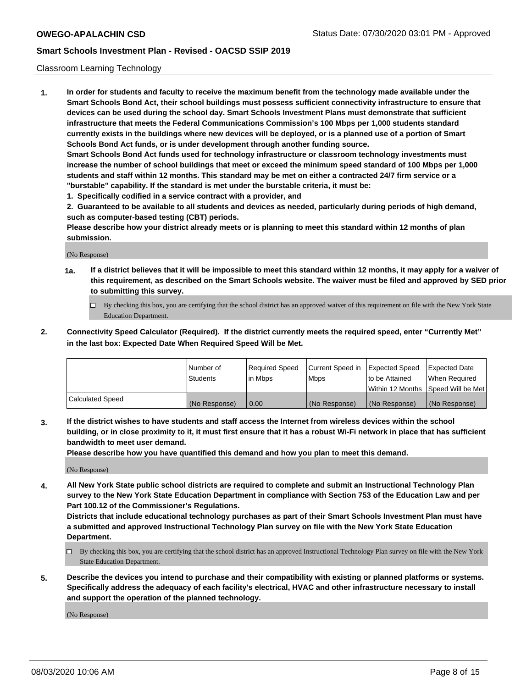### Classroom Learning Technology

**1. In order for students and faculty to receive the maximum benefit from the technology made available under the Smart Schools Bond Act, their school buildings must possess sufficient connectivity infrastructure to ensure that devices can be used during the school day. Smart Schools Investment Plans must demonstrate that sufficient infrastructure that meets the Federal Communications Commission's 100 Mbps per 1,000 students standard currently exists in the buildings where new devices will be deployed, or is a planned use of a portion of Smart Schools Bond Act funds, or is under development through another funding source. Smart Schools Bond Act funds used for technology infrastructure or classroom technology investments must increase the number of school buildings that meet or exceed the minimum speed standard of 100 Mbps per 1,000**

**students and staff within 12 months. This standard may be met on either a contracted 24/7 firm service or a "burstable" capability. If the standard is met under the burstable criteria, it must be:**

**1. Specifically codified in a service contract with a provider, and**

**2. Guaranteed to be available to all students and devices as needed, particularly during periods of high demand, such as computer-based testing (CBT) periods.**

**Please describe how your district already meets or is planning to meet this standard within 12 months of plan submission.**

(No Response)

- **1a. If a district believes that it will be impossible to meet this standard within 12 months, it may apply for a waiver of this requirement, as described on the Smart Schools website. The waiver must be filed and approved by SED prior to submitting this survey.**
	- By checking this box, you are certifying that the school district has an approved waiver of this requirement on file with the New York State Education Department.
- **2. Connectivity Speed Calculator (Required). If the district currently meets the required speed, enter "Currently Met" in the last box: Expected Date When Required Speed Will be Met.**

|                  | l Number of     | Required Speed | Current Speed in | <b>Expected Speed</b> | <b>Expected Date</b>                |
|------------------|-----------------|----------------|------------------|-----------------------|-------------------------------------|
|                  | <b>Students</b> | l in Mbps      | l Mbps           | to be Attained        | When Required                       |
|                  |                 |                |                  |                       | Within 12 Months  Speed Will be Met |
| Calculated Speed | (No Response)   | 0.00           | (No Response)    | l (No Response)       | (No Response)                       |

**3. If the district wishes to have students and staff access the Internet from wireless devices within the school building, or in close proximity to it, it must first ensure that it has a robust Wi-Fi network in place that has sufficient bandwidth to meet user demand.**

**Please describe how you have quantified this demand and how you plan to meet this demand.**

(No Response)

**4. All New York State public school districts are required to complete and submit an Instructional Technology Plan survey to the New York State Education Department in compliance with Section 753 of the Education Law and per Part 100.12 of the Commissioner's Regulations.**

**Districts that include educational technology purchases as part of their Smart Schools Investment Plan must have a submitted and approved Instructional Technology Plan survey on file with the New York State Education Department.**

- By checking this box, you are certifying that the school district has an approved Instructional Technology Plan survey on file with the New York State Education Department.
- **5. Describe the devices you intend to purchase and their compatibility with existing or planned platforms or systems. Specifically address the adequacy of each facility's electrical, HVAC and other infrastructure necessary to install and support the operation of the planned technology.**

(No Response)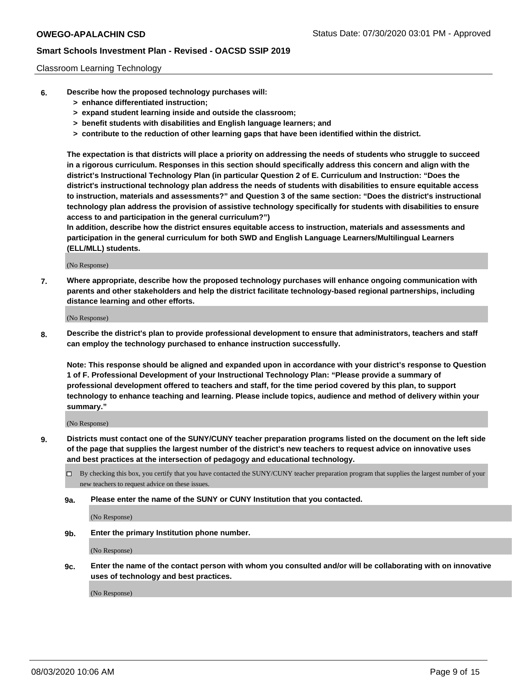### Classroom Learning Technology

- **6. Describe how the proposed technology purchases will:**
	- **> enhance differentiated instruction;**
	- **> expand student learning inside and outside the classroom;**
	- **> benefit students with disabilities and English language learners; and**
	- **> contribute to the reduction of other learning gaps that have been identified within the district.**

**The expectation is that districts will place a priority on addressing the needs of students who struggle to succeed in a rigorous curriculum. Responses in this section should specifically address this concern and align with the district's Instructional Technology Plan (in particular Question 2 of E. Curriculum and Instruction: "Does the district's instructional technology plan address the needs of students with disabilities to ensure equitable access to instruction, materials and assessments?" and Question 3 of the same section: "Does the district's instructional technology plan address the provision of assistive technology specifically for students with disabilities to ensure access to and participation in the general curriculum?")**

**In addition, describe how the district ensures equitable access to instruction, materials and assessments and participation in the general curriculum for both SWD and English Language Learners/Multilingual Learners (ELL/MLL) students.**

(No Response)

**7. Where appropriate, describe how the proposed technology purchases will enhance ongoing communication with parents and other stakeholders and help the district facilitate technology-based regional partnerships, including distance learning and other efforts.**

(No Response)

**8. Describe the district's plan to provide professional development to ensure that administrators, teachers and staff can employ the technology purchased to enhance instruction successfully.**

**Note: This response should be aligned and expanded upon in accordance with your district's response to Question 1 of F. Professional Development of your Instructional Technology Plan: "Please provide a summary of professional development offered to teachers and staff, for the time period covered by this plan, to support technology to enhance teaching and learning. Please include topics, audience and method of delivery within your summary."**

(No Response)

- **9. Districts must contact one of the SUNY/CUNY teacher preparation programs listed on the document on the left side of the page that supplies the largest number of the district's new teachers to request advice on innovative uses and best practices at the intersection of pedagogy and educational technology.**
	- By checking this box, you certify that you have contacted the SUNY/CUNY teacher preparation program that supplies the largest number of your new teachers to request advice on these issues.
	- **9a. Please enter the name of the SUNY or CUNY Institution that you contacted.**

(No Response)

**9b. Enter the primary Institution phone number.**

(No Response)

**9c. Enter the name of the contact person with whom you consulted and/or will be collaborating with on innovative uses of technology and best practices.**

(No Response)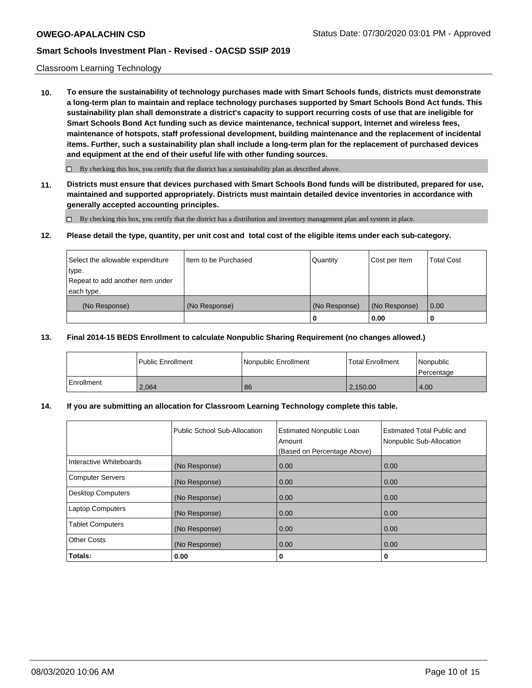### Classroom Learning Technology

**10. To ensure the sustainability of technology purchases made with Smart Schools funds, districts must demonstrate a long-term plan to maintain and replace technology purchases supported by Smart Schools Bond Act funds. This sustainability plan shall demonstrate a district's capacity to support recurring costs of use that are ineligible for Smart Schools Bond Act funding such as device maintenance, technical support, Internet and wireless fees, maintenance of hotspots, staff professional development, building maintenance and the replacement of incidental items. Further, such a sustainability plan shall include a long-term plan for the replacement of purchased devices and equipment at the end of their useful life with other funding sources.**

 $\Box$  By checking this box, you certify that the district has a sustainability plan as described above.

**11. Districts must ensure that devices purchased with Smart Schools Bond funds will be distributed, prepared for use, maintained and supported appropriately. Districts must maintain detailed device inventories in accordance with generally accepted accounting principles.**

By checking this box, you certify that the district has a distribution and inventory management plan and system in place.

#### **12. Please detail the type, quantity, per unit cost and total cost of the eligible items under each sub-category.**

| Select the allowable expenditure<br>type.<br>Repeat to add another item under | Item to be Purchased | Quantity      | Cost per Item | <b>Total Cost</b> |
|-------------------------------------------------------------------------------|----------------------|---------------|---------------|-------------------|
| each type.<br>(No Response)                                                   | (No Response)        | (No Response) | (No Response) | 0.00              |
|                                                                               |                      | 0             | 0.00          |                   |

#### **13. Final 2014-15 BEDS Enrollment to calculate Nonpublic Sharing Requirement (no changes allowed.)**

|            | l Public Enrollment | <b>INonpublic Enrollment</b> | <b>Total Enrollment</b> | Nonpublic<br>l Percentage |
|------------|---------------------|------------------------------|-------------------------|---------------------------|
| Enrollment | 2.064               | 86                           | 2.150.00                | 4.00                      |

### **14. If you are submitting an allocation for Classroom Learning Technology complete this table.**

|                         | Public School Sub-Allocation | <b>Estimated Nonpublic Loan</b><br>Amount<br>(Based on Percentage Above) | Estimated Total Public and<br>Nonpublic Sub-Allocation |
|-------------------------|------------------------------|--------------------------------------------------------------------------|--------------------------------------------------------|
| Interactive Whiteboards | (No Response)                | 0.00                                                                     | 0.00                                                   |
| Computer Servers        | (No Response)                | 0.00                                                                     | 0.00                                                   |
| Desktop Computers       | (No Response)                | 0.00                                                                     | 0.00                                                   |
| <b>Laptop Computers</b> | (No Response)                | 0.00                                                                     | 0.00                                                   |
| <b>Tablet Computers</b> | (No Response)                | 0.00                                                                     | 0.00                                                   |
| Other Costs             | (No Response)                | 0.00                                                                     | 0.00                                                   |
| Totals:                 | 0.00                         | 0                                                                        | 0                                                      |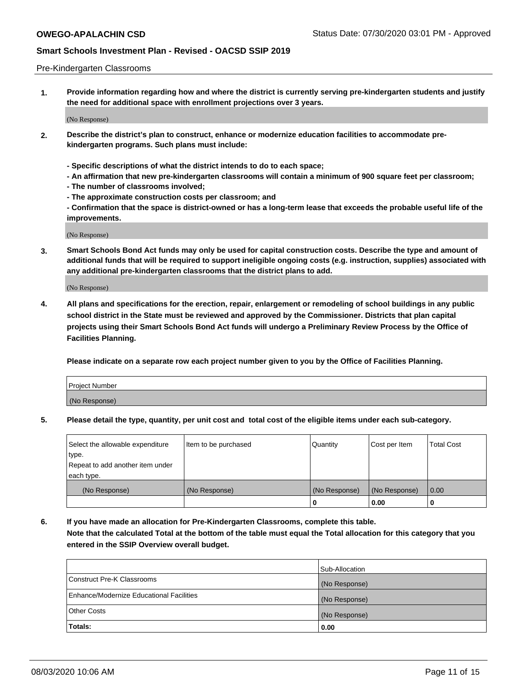#### Pre-Kindergarten Classrooms

**1. Provide information regarding how and where the district is currently serving pre-kindergarten students and justify the need for additional space with enrollment projections over 3 years.**

(No Response)

- **2. Describe the district's plan to construct, enhance or modernize education facilities to accommodate prekindergarten programs. Such plans must include:**
	- **Specific descriptions of what the district intends to do to each space;**
	- **An affirmation that new pre-kindergarten classrooms will contain a minimum of 900 square feet per classroom;**
	- **The number of classrooms involved;**
	- **The approximate construction costs per classroom; and**
	- **Confirmation that the space is district-owned or has a long-term lease that exceeds the probable useful life of the improvements.**

(No Response)

**3. Smart Schools Bond Act funds may only be used for capital construction costs. Describe the type and amount of additional funds that will be required to support ineligible ongoing costs (e.g. instruction, supplies) associated with any additional pre-kindergarten classrooms that the district plans to add.**

(No Response)

**4. All plans and specifications for the erection, repair, enlargement or remodeling of school buildings in any public school district in the State must be reviewed and approved by the Commissioner. Districts that plan capital projects using their Smart Schools Bond Act funds will undergo a Preliminary Review Process by the Office of Facilities Planning.**

**Please indicate on a separate row each project number given to you by the Office of Facilities Planning.**

| Project Number |  |
|----------------|--|
| (No Response)  |  |
|                |  |

**5. Please detail the type, quantity, per unit cost and total cost of the eligible items under each sub-category.**

| Select the allowable expenditure | Item to be purchased | Quantity      | Cost per Item | <b>Total Cost</b> |
|----------------------------------|----------------------|---------------|---------------|-------------------|
| type.                            |                      |               |               |                   |
| Repeat to add another item under |                      |               |               |                   |
| each type.                       |                      |               |               |                   |
| (No Response)                    | (No Response)        | (No Response) | (No Response) | 0.00              |
|                                  |                      | υ             | 0.00          |                   |

**6. If you have made an allocation for Pre-Kindergarten Classrooms, complete this table. Note that the calculated Total at the bottom of the table must equal the Total allocation for this category that you entered in the SSIP Overview overall budget.**

|                                          | Sub-Allocation |
|------------------------------------------|----------------|
| Construct Pre-K Classrooms               | (No Response)  |
| Enhance/Modernize Educational Facilities | (No Response)  |
| <b>Other Costs</b>                       | (No Response)  |
| Totals:                                  | 0.00           |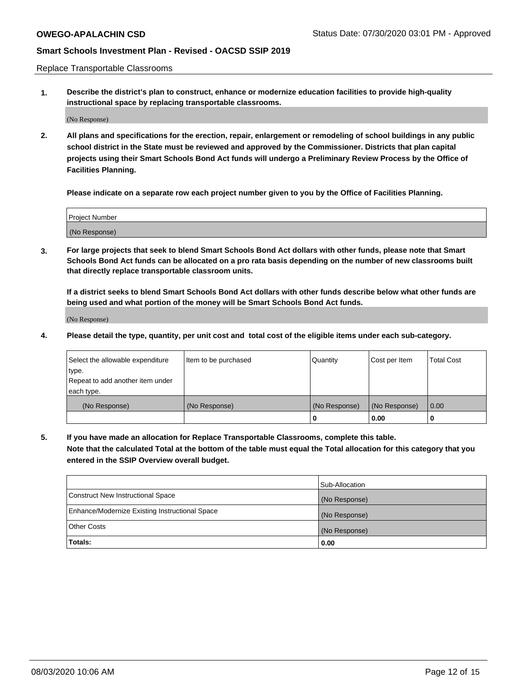Replace Transportable Classrooms

**1. Describe the district's plan to construct, enhance or modernize education facilities to provide high-quality instructional space by replacing transportable classrooms.**

(No Response)

**2. All plans and specifications for the erection, repair, enlargement or remodeling of school buildings in any public school district in the State must be reviewed and approved by the Commissioner. Districts that plan capital projects using their Smart Schools Bond Act funds will undergo a Preliminary Review Process by the Office of Facilities Planning.**

**Please indicate on a separate row each project number given to you by the Office of Facilities Planning.**

| Project Number |  |
|----------------|--|
|                |  |
| (No Response)  |  |

**3. For large projects that seek to blend Smart Schools Bond Act dollars with other funds, please note that Smart Schools Bond Act funds can be allocated on a pro rata basis depending on the number of new classrooms built that directly replace transportable classroom units.**

**If a district seeks to blend Smart Schools Bond Act dollars with other funds describe below what other funds are being used and what portion of the money will be Smart Schools Bond Act funds.**

(No Response)

**4. Please detail the type, quantity, per unit cost and total cost of the eligible items under each sub-category.**

| Select the allowable expenditure           | Item to be purchased | Quantity      | Cost per Item | <b>Total Cost</b> |
|--------------------------------------------|----------------------|---------------|---------------|-------------------|
| ∣type.<br>Repeat to add another item under |                      |               |               |                   |
| each type.                                 |                      |               |               |                   |
| (No Response)                              | (No Response)        | (No Response) | (No Response) | 0.00              |
|                                            |                      | 0             | 0.00          |                   |

**5. If you have made an allocation for Replace Transportable Classrooms, complete this table. Note that the calculated Total at the bottom of the table must equal the Total allocation for this category that you entered in the SSIP Overview overall budget.**

|                                                | Sub-Allocation |
|------------------------------------------------|----------------|
| Construct New Instructional Space              | (No Response)  |
| Enhance/Modernize Existing Instructional Space | (No Response)  |
| <b>Other Costs</b>                             | (No Response)  |
| Totals:                                        | 0.00           |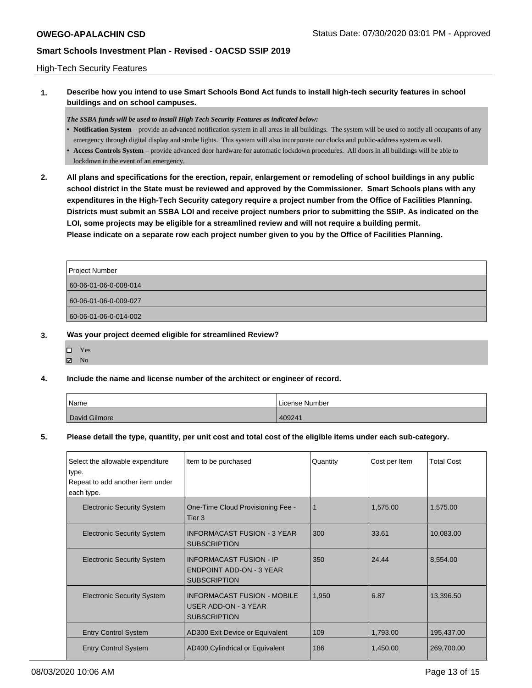### High-Tech Security Features

**1. Describe how you intend to use Smart Schools Bond Act funds to install high-tech security features in school buildings and on school campuses.**

#### *The SSBA funds will be used to install High Tech Security Features as indicated below:*

- **• Notification System** provide an advanced notification system in all areas in all buildings. The system will be used to notify all occupants of any emergency through digital display and strobe lights. This system will also incorporate our clocks and public-address system as well.
- **• Access Controls System** provide advanced door hardware for automatic lockdown procedures. All doors in all buildings will be able to lockdown in the event of an emergency.
- **2. All plans and specifications for the erection, repair, enlargement or remodeling of school buildings in any public school district in the State must be reviewed and approved by the Commissioner. Smart Schools plans with any expenditures in the High-Tech Security category require a project number from the Office of Facilities Planning. Districts must submit an SSBA LOI and receive project numbers prior to submitting the SSIP. As indicated on the LOI, some projects may be eligible for a streamlined review and will not require a building permit. Please indicate on a separate row each project number given to you by the Office of Facilities Planning.**

| Project Number        |
|-----------------------|
| 60-06-01-06-0-008-014 |
| 60-06-01-06-0-009-027 |
| 60-06-01-06-0-014-002 |

### **3. Was your project deemed eligible for streamlined Review?**

Yes **Z** No

### **4. Include the name and license number of the architect or engineer of record.**

| Name          | License Number |
|---------------|----------------|
| David Gilmore | 409241         |

#### **5. Please detail the type, quantity, per unit cost and total cost of the eligible items under each sub-category.**

| Select the allowable expenditure<br>type.<br>Repeat to add another item under<br>each type. | Item to be purchased                                                                     | Quantity | Cost per Item | <b>Total Cost</b> |
|---------------------------------------------------------------------------------------------|------------------------------------------------------------------------------------------|----------|---------------|-------------------|
| <b>Electronic Security System</b>                                                           | One-Time Cloud Provisioning Fee -<br>Tier 3                                              |          | 1,575.00      | 1,575.00          |
| <b>Electronic Security System</b>                                                           | <b>INFORMACAST FUSION - 3 YEAR</b><br><b>SUBSCRIPTION</b>                                | 300      | 33.61         | 10,083.00         |
| <b>Electronic Security System</b>                                                           | <b>INFORMACAST FUSION - IP</b><br><b>ENDPOINT ADD-ON - 3 YEAR</b><br><b>SUBSCRIPTION</b> | 350      | 24.44         | 8,554.00          |
| <b>Electronic Security System</b>                                                           | <b>INFORMACAST FUSION - MOBILE</b><br>USER ADD-ON - 3 YEAR<br><b>SUBSCRIPTION</b>        | 1,950    | 6.87          | 13,396.50         |
| <b>Entry Control System</b>                                                                 | AD300 Exit Device or Equivalent                                                          | 109      | 1,793.00      | 195,437.00        |
| <b>Entry Control System</b>                                                                 | AD400 Cylindrical or Equivalent                                                          | 186      | 1,450.00      | 269,700.00        |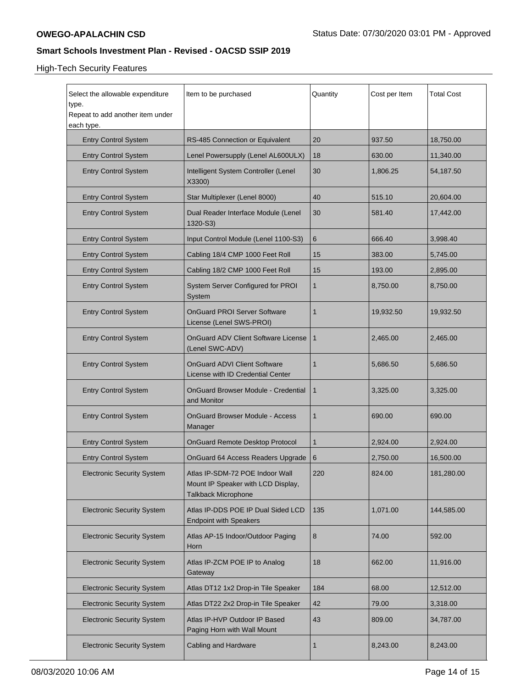# High-Tech Security Features

| Select the allowable expenditure<br>type.<br>Repeat to add another item under<br>each type. | Item to be purchased                                                                         | Quantity | Cost per Item | <b>Total Cost</b> |
|---------------------------------------------------------------------------------------------|----------------------------------------------------------------------------------------------|----------|---------------|-------------------|
| <b>Entry Control System</b>                                                                 | RS-485 Connection or Equivalent                                                              | 20       | 937.50        | 18,750.00         |
| <b>Entry Control System</b>                                                                 | Lenel Powersupply (Lenel AL600ULX)                                                           | 18       | 630.00        | 11,340.00         |
| <b>Entry Control System</b>                                                                 | Intelligent System Controller (Lenel<br>X3300)                                               | 30       | 1,806.25      | 54,187.50         |
| <b>Entry Control System</b>                                                                 | Star Multiplexer (Lenel 8000)                                                                | 40       | 515.10        | 20,604.00         |
| <b>Entry Control System</b>                                                                 | Dual Reader Interface Module (Lenel<br>1320-S3)                                              | 30       | 581.40        | 17,442.00         |
| <b>Entry Control System</b>                                                                 | Input Control Module (Lenel 1100-S3)                                                         | 6        | 666.40        | 3,998.40          |
| <b>Entry Control System</b>                                                                 | Cabling 18/4 CMP 1000 Feet Roll                                                              | 15       | 383.00        | 5,745.00          |
| <b>Entry Control System</b>                                                                 | Cabling 18/2 CMP 1000 Feet Roll                                                              | 15       | 193.00        | 2,895.00          |
| <b>Entry Control System</b>                                                                 | System Server Configured for PROI<br>System                                                  | 1        | 8,750.00      | 8,750.00          |
| <b>Entry Control System</b>                                                                 | OnGuard PROI Server Software<br>License (Lenel SWS-PROI)                                     | 1        | 19,932.50     | 19,932.50         |
| <b>Entry Control System</b>                                                                 | OnGuard ADV Client Software License<br>(Lenel SWC-ADV)                                       | 1        | 2,465.00      | 2,465.00          |
| <b>Entry Control System</b>                                                                 | <b>OnGuard ADVI Client Software</b><br>License with ID Credential Center                     | 1        | 5,686.50      | 5,686.50          |
| <b>Entry Control System</b>                                                                 | <b>OnGuard Browser Module - Credential</b><br>and Monitor                                    | 1        | 3,325.00      | 3,325.00          |
| <b>Entry Control System</b>                                                                 | OnGuard Browser Module - Access<br>Manager                                                   | 1        | 690.00        | 690.00            |
| <b>Entry Control System</b>                                                                 | <b>OnGuard Remote Desktop Protocol</b>                                                       | 1        | 2,924.00      | 2,924.00          |
| <b>Entry Control System</b>                                                                 | OnGuard 64 Access Readers Upgrade                                                            | 6        | 2,750.00      | 16,500.00         |
| <b>Electronic Security System</b>                                                           | Atlas IP-SDM-72 POE Indoor Wall<br>Mount IP Speaker with LCD Display,<br>Talkback Microphone | 220      | 824.00        | 181,280.00        |
| <b>Electronic Security System</b>                                                           | Atlas IP-DDS POE IP Dual Sided LCD<br><b>Endpoint with Speakers</b>                          | 135      | 1,071.00      | 144,585.00        |
| <b>Electronic Security System</b>                                                           | Atlas AP-15 Indoor/Outdoor Paging<br>Horn                                                    | 8        | 74.00         | 592.00            |
| <b>Electronic Security System</b>                                                           | Atlas IP-ZCM POE IP to Analog<br>Gateway                                                     | 18       | 662.00        | 11,916.00         |
| <b>Electronic Security System</b>                                                           | Atlas DT12 1x2 Drop-in Tile Speaker                                                          | 184      | 68.00         | 12,512.00         |
| <b>Electronic Security System</b>                                                           | Atlas DT22 2x2 Drop-in Tile Speaker                                                          | 42       | 79.00         | 3,318.00          |
| <b>Electronic Security System</b>                                                           | Atlas IP-HVP Outdoor IP Based<br>Paging Horn with Wall Mount                                 | 43       | 809.00        | 34,787.00         |
| <b>Electronic Security System</b>                                                           | Cabling and Hardware                                                                         | 1        | 8,243.00      | 8,243.00          |